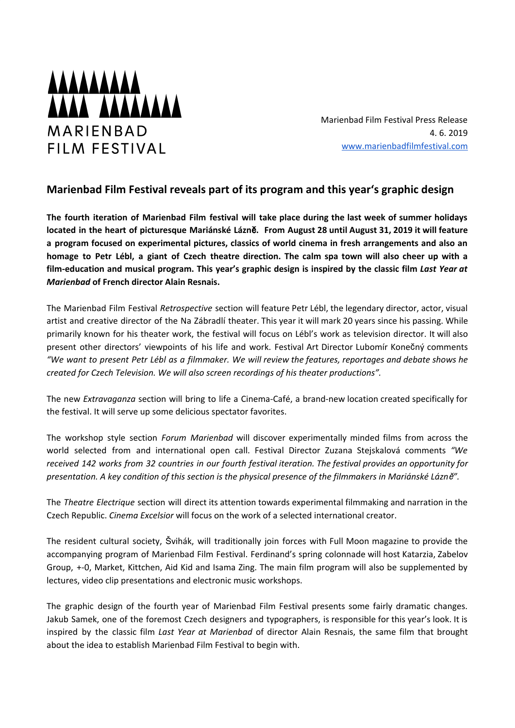

Marienbad Film Festival Press Release 4. 6. 2019 [www.marienbadfilmfestival.com](http://www.marienbadfilmfestival.com/)

## **Marienbad Film Festival reveals part of its program and this year's graphic design**

**The fourth iteration of Marienbad Film festival will take place during the last week of summer holidays** located in the heart of picturesque Mariánské Lázně. From August 28 until August 31, 2019 it will feature **a program focused on experimental pictures, classics of world cinema in fresh arrangements and also an** homage to Petr Lébl, a giant of Czech theatre direction. The calm spa town will also cheer up with a film-education and musical program. This year's graphic design is inspired by the classic film Last Year at *Marienbad* **of French director Alain Resnais.**

The Marienbad Film Festival *Retrospective* section will feature Petr Lébl, the legendary director, actor, visual artist and creative director of the Na Zábradlí theater. This year it will mark 20 years since his passing. While primarily known for his theater work, the festival will focus on Lébl's work as television director. It will also present other directors' viewpoints of his life and work. Festival Art Director Lubomír Konečný comments "We want to present Petr Lébl as a filmmaker. We will review the features, reportages and debate shows he *created for Czech Television. We will also screen recordings of his theater productions".*

The new *Extravaganza* section will bring to life a Cinema-Café, a brand-new location created specifically for the festival. It will serve up some delicious spectator favorites.

The workshop style section *Forum Marienbad* will discover experimentally minded films from across the world selected from and international open call. Festival Director Zuzana Stejskalová comments *"We* received 142 works from 32 countries in our fourth festival iteration. The festival provides an opportunity for presentation. A key condition of this section is the physical presence of the filmmakers in Mariánské Lázně".

The *Theatre Electrique* section will direct its attention towards experimental filmmaking and narration in the Czech Republic. *Cinema Excelsior* will focus on the work of a selected international creator.

The resident cultural society, Švihák, will traditionally join forces with Full Moon magazine to provide the accompanying program of Marienbad Film Festival. Ferdinand's spring colonnade will host Katarzia, Zabelov Group, +-0, Market, Kittchen, Aid Kid and Isama Zing. The main film program will also be supplemented by lectures, video clip presentations and electronic music workshops.

The graphic design of the fourth year of Marienbad Film Festival presents some fairly dramatic changes. Jakub Samek, one of the foremost Czech designers and typographers, is responsible for this year's look. It is inspired by the classic film *Last Year at Marienbad* of director Alain Resnais, the same film that brought about the idea to establish Marienbad Film Festival to begin with.